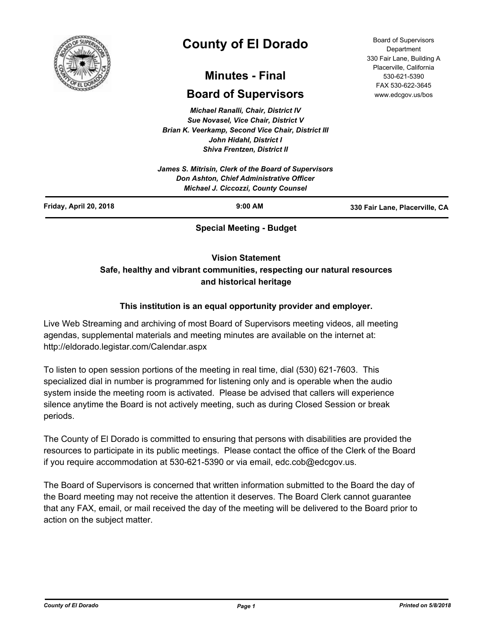

# **County of El Dorado**

# **Minutes - Final**

# **Board of Supervisors**

*Michael Ranalli, Chair, District IV Sue Novasel, Vice Chair, District V Brian K. Veerkamp, Second Vice Chair, District III John Hidahl, District I Shiva Frentzen, District II*

*James S. Mitrisin, Clerk of the Board of Supervisors Don Ashton, Chief Administrative Officer Michael J. Ciccozzi, County Counsel*

Board of Supervisors Department 330 Fair Lane, Building A Placerville, California 530-621-5390 FAX 530-622-3645 www.edcgov.us/bos

| Friday, April 20, 2018 | $9:00$ AM                     | 330 Fair Lane, Placerville, CA |
|------------------------|-------------------------------|--------------------------------|
|                        | <b>Concial Monting Pudget</b> |                                |

**Special Meeting - Budget**

### **Vision Statement**

## **Safe, healthy and vibrant communities, respecting our natural resources and historical heritage**

### **This institution is an equal opportunity provider and employer.**

Live Web Streaming and archiving of most Board of Supervisors meeting videos, all meeting agendas, supplemental materials and meeting minutes are available on the internet at: http://eldorado.legistar.com/Calendar.aspx

To listen to open session portions of the meeting in real time, dial (530) 621-7603. This specialized dial in number is programmed for listening only and is operable when the audio system inside the meeting room is activated. Please be advised that callers will experience silence anytime the Board is not actively meeting, such as during Closed Session or break periods.

The County of El Dorado is committed to ensuring that persons with disabilities are provided the resources to participate in its public meetings. Please contact the office of the Clerk of the Board if you require accommodation at 530-621-5390 or via email, edc.cob@edcgov.us.

The Board of Supervisors is concerned that written information submitted to the Board the day of the Board meeting may not receive the attention it deserves. The Board Clerk cannot guarantee that any FAX, email, or mail received the day of the meeting will be delivered to the Board prior to action on the subject matter.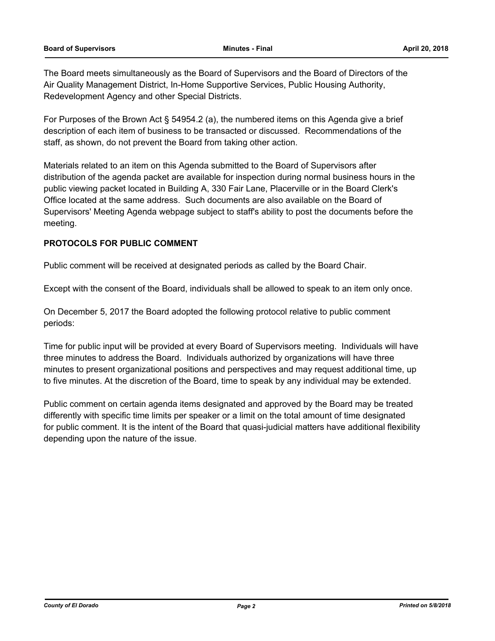The Board meets simultaneously as the Board of Supervisors and the Board of Directors of the Air Quality Management District, In-Home Supportive Services, Public Housing Authority, Redevelopment Agency and other Special Districts.

For Purposes of the Brown Act § 54954.2 (a), the numbered items on this Agenda give a brief description of each item of business to be transacted or discussed. Recommendations of the staff, as shown, do not prevent the Board from taking other action.

Materials related to an item on this Agenda submitted to the Board of Supervisors after distribution of the agenda packet are available for inspection during normal business hours in the public viewing packet located in Building A, 330 Fair Lane, Placerville or in the Board Clerk's Office located at the same address. Such documents are also available on the Board of Supervisors' Meeting Agenda webpage subject to staff's ability to post the documents before the meeting.

#### **PROTOCOLS FOR PUBLIC COMMENT**

Public comment will be received at designated periods as called by the Board Chair.

Except with the consent of the Board, individuals shall be allowed to speak to an item only once.

On December 5, 2017 the Board adopted the following protocol relative to public comment periods:

Time for public input will be provided at every Board of Supervisors meeting. Individuals will have three minutes to address the Board. Individuals authorized by organizations will have three minutes to present organizational positions and perspectives and may request additional time, up to five minutes. At the discretion of the Board, time to speak by any individual may be extended.

Public comment on certain agenda items designated and approved by the Board may be treated differently with specific time limits per speaker or a limit on the total amount of time designated for public comment. It is the intent of the Board that quasi-judicial matters have additional flexibility depending upon the nature of the issue.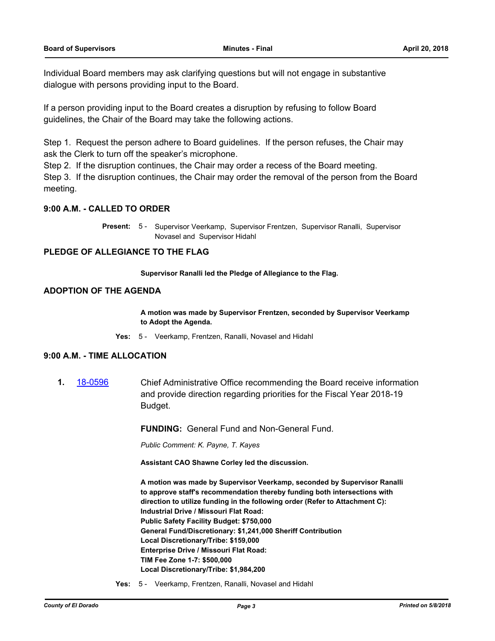Individual Board members may ask clarifying questions but will not engage in substantive dialogue with persons providing input to the Board.

If a person providing input to the Board creates a disruption by refusing to follow Board guidelines, the Chair of the Board may take the following actions.

Step 1. Request the person adhere to Board guidelines. If the person refuses, the Chair may ask the Clerk to turn off the speaker's microphone.

Step 2. If the disruption continues, the Chair may order a recess of the Board meeting.

Step 3. If the disruption continues, the Chair may order the removal of the person from the Board meeting.

#### **9:00 A.M. - CALLED TO ORDER**

Present: 5 - Supervisor Veerkamp, Supervisor Frentzen, Supervisor Ranalli, Supervisor Novasel and Supervisor Hidahl

#### **PLEDGE OF ALLEGIANCE TO THE FLAG**

**Supervisor Ranalli led the Pledge of Allegiance to the Flag.**

#### **ADOPTION OF THE AGENDA**

**A motion was made by Supervisor Frentzen, seconded by Supervisor Veerkamp to Adopt the Agenda.**

**Yes:** 5 - Veerkamp, Frentzen, Ranalli, Novasel and Hidahl

#### **9:00 A.M. - TIME ALLOCATION**

**1.** [18-0596](http://eldorado.legistar.com/gateway.aspx?m=l&id=/matter.aspx?key=23941) Chief Administrative Office recommending the Board receive information and provide direction regarding priorities for the Fiscal Year 2018-19 Budget.

**FUNDING:** General Fund and Non-General Fund.

*Public Comment: K. Payne, T. Kayes*

**Assistant CAO Shawne Corley led the discussion.** 

**A motion was made by Supervisor Veerkamp, seconded by Supervisor Ranalli to approve staff's recommendation thereby funding both intersections with direction to utilize funding in the following order (Refer to Attachment C): Industrial Drive / Missouri Flat Road: Public Safety Facility Budget: \$750,000 General Fund/Discretionary: \$1,241,000 Sheriff Contribution Local Discretionary/Tribe: \$159,000 Enterprise Drive / Missouri Flat Road: TIM Fee Zone 1-7: \$500,000 Local Discretionary/Tribe: \$1,984,200**

**Yes:** 5 - Veerkamp, Frentzen, Ranalli, Novasel and Hidahl